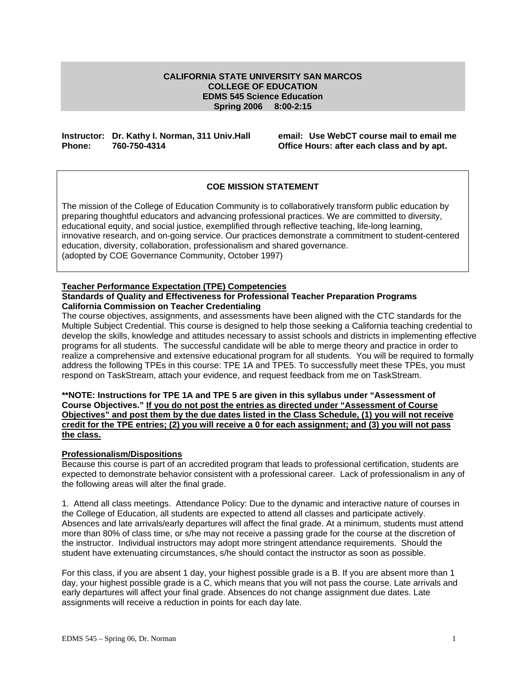#### **CALIFORNIA STATE UNIVERSITY SAN MARCOS COLLEGE OF EDUCATION EDMS 545 Science Education Spring 2006 8:00-2:15**

### **Instructor: Dr. Kathy I. Norman, 311 Univ.Hall email: Use WebCT course mail to email me Phone: 760-750-4314 Office Hours: after each class and by apt.**

# **COE MISSION STATEMENT**

The mission of the College of Education Community is to collaboratively transform public education by preparing thoughtful educators and advancing professional practices. We are committed to diversity, educational equity, and social justice, exemplified through reflective teaching, life-long learning, innovative research, and on-going service. Our practices demonstrate a commitment to student-centered education, diversity, collaboration, professionalism and shared governance. (adopted by COE Governance Community, October 1997)

### **Teacher Performance Expectation (TPE) Competencies**

#### **Standards of Quality and Effectiveness for Professional Teacher Preparation Programs California Commission on Teacher Credentialing**

The course objectives, assignments, and assessments have been aligned with the CTC standards for the Multiple Subject Credential. This course is designed to help those seeking a California teaching credential to develop the skills, knowledge and attitudes necessary to assist schools and districts in implementing effective programs for all students. The successful candidate will be able to merge theory and practice in order to realize a comprehensive and extensive educational program for all students. You will be required to formally address the following TPEs in this course: TPE 1A and TPE5. To successfully meet these TPEs, you must respond on TaskStream, attach your evidence, and request feedback from me on TaskStream.

### **\*\*NOTE: Instructions for TPE 1A and TPE 5 are given in this syllabus under "Assessment of Course Objectives." If you do not post the entries as directed under "Assessment of Course Objectives" and post them by the due dates listed in the Class Schedule, (1) you will not receive credit for the TPE entries; (2) you will receive a 0 for each assignment; and (3) you will not pass the class.**

### **Professionalism/Dispositions**

Because this course is part of an accredited program that leads to professional certification, students are expected to demonstrate behavior consistent with a professional career. Lack of professionalism in any of the following areas will alter the final grade.

1. Attend all class meetings.Attendance Policy: Due to the dynamic and interactive nature of courses in the College of Education, all students are expected to attend all classes and participate actively. Absences and late arrivals/early departures will affect the final grade. At a minimum, students must attend more than 80% of class time, or s/he may not receive a passing grade for the course at the discretion of the instructor. Individual instructors may adopt more stringent attendance requirements. Should the student have extenuating circumstances, s/he should contact the instructor as soon as possible.

For this class, if you are absent 1 day, your highest possible grade is a B. If you are absent more than 1 day, your highest possible grade is a C, which means that you will not pass the course. Late arrivals and early departures will affect your final grade. Absences do not change assignment due dates. Late assignments will receive a reduction in points for each day late.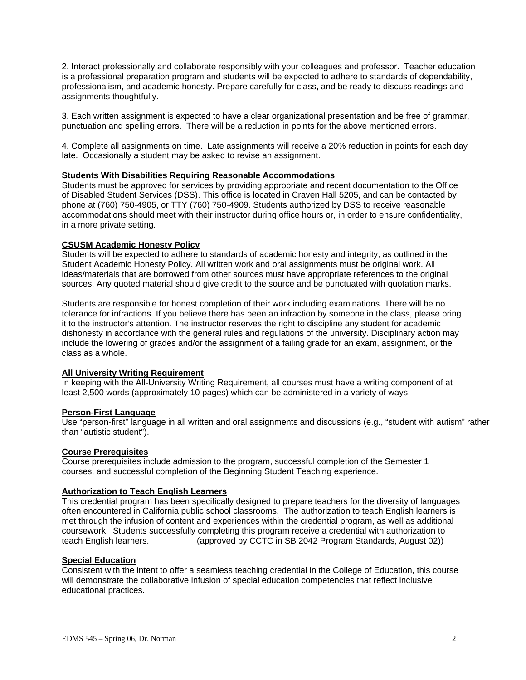2. Interact professionally and collaborate responsibly with your colleagues and professor. Teacher education is a professional preparation program and students will be expected to adhere to standards of dependability, professionalism, and academic honesty. Prepare carefully for class, and be ready to discuss readings and assignments thoughtfully.

3. Each written assignment is expected to have a clear organizational presentation and be free of grammar, punctuation and spelling errors. There will be a reduction in points for the above mentioned errors.

4. Complete all assignments on time. Late assignments will receive a 20% reduction in points for each day late. Occasionally a student may be asked to revise an assignment.

### **Students With Disabilities Requiring Reasonable Accommodations**

Students must be approved for services by providing appropriate and recent documentation to the Office of Disabled Student Services (DSS). This office is located in Craven Hall 5205, and can be contacted by phone at (760) 750-4905, or TTY (760) 750-4909. Students authorized by DSS to receive reasonable accommodations should meet with their instructor during office hours or, in order to ensure confidentiality, in a more private setting.

#### **CSUSM Academic Honesty Policy**

Students will be expected to adhere to standards of academic honesty and integrity, as outlined in the Student Academic Honesty Policy. All written work and oral assignments must be original work. All ideas/materials that are borrowed from other sources must have appropriate references to the original sources. Any quoted material should give credit to the source and be punctuated with quotation marks.

Students are responsible for honest completion of their work including examinations. There will be no tolerance for infractions. If you believe there has been an infraction by someone in the class, please bring it to the instructor's attention. The instructor reserves the right to discipline any student for academic dishonesty in accordance with the general rules and regulations of the university. Disciplinary action may include the lowering of grades and/or the assignment of a failing grade for an exam, assignment, or the class as a whole.

#### **All University Writing Requirement**

In keeping with the All-University Writing Requirement, all courses must have a writing component of at least 2,500 words (approximately 10 pages) which can be administered in a variety of ways.

#### **Person-First Language**

Use "person-first" language in all written and oral assignments and discussions (e.g., "student with autism" rather than "autistic student").

### **Course Prerequisites**

Course prerequisites include admission to the program, successful completion of the Semester 1 courses, and successful completion of the Beginning Student Teaching experience.

#### **Authorization to Teach English Learners**

This credential program has been specifically designed to prepare teachers for the diversity of languages often encountered in California public school classrooms. The authorization to teach English learners is met through the infusion of content and experiences within the credential program, as well as additional coursework. Students successfully completing this program receive a credential with authorization to teach English learners. (approved by CCTC in SB 2042 Program Standards, August 02))

#### **Special Education**

Consistent with the intent to offer a seamless teaching credential in the College of Education, this course will demonstrate the collaborative infusion of special education competencies that reflect inclusive educational practices.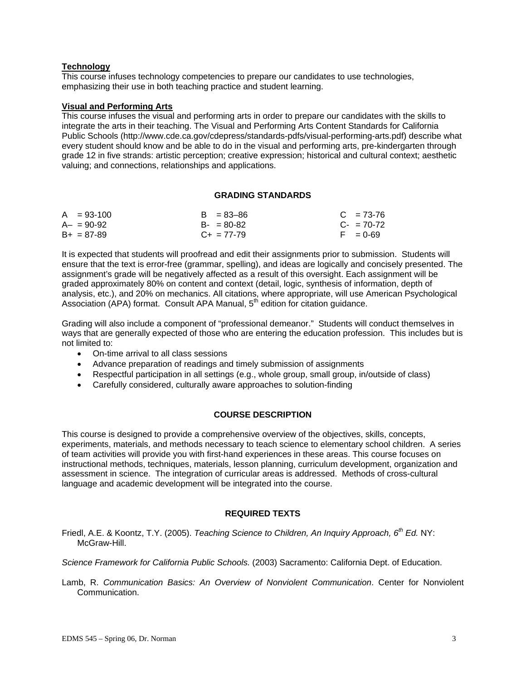# **Technology**

This course infuses technology competencies to prepare our candidates to use technologies, emphasizing their use in both teaching practice and student learning.

### **Visual and Performing Arts**

This course infuses the visual and performing arts in order to prepare our candidates with the skills to integrate the arts in their teaching. The Visual and Performing Arts Content Standards for California Public Schools (http://www.cde.ca.gov/cdepress/standards-pdfs/visual-performing-arts.pdf) describe what every student should know and be able to do in the visual and performing arts, pre-kindergarten through grade 12 in five strands: artistic perception; creative expression; historical and cultural context; aesthetic valuing; and connections, relationships and applications.

#### **GRADING STANDARDS**

| $A = 93-100$    | $B = 83 - 86$   | $C = 73-76$ |
|-----------------|-----------------|-------------|
| $A - = 90 - 92$ | $B - 80 - 82$   | $C - 70-72$ |
| $B+ = 87-89$    | $C_{+}$ = 77-79 | $F = 0.69$  |

It is expected that students will proofread and edit their assignments prior to submission. Students will ensure that the text is error-free (grammar, spelling), and ideas are logically and concisely presented. The assignment's grade will be negatively affected as a result of this oversight. Each assignment will be graded approximately 80% on content and context (detail, logic, synthesis of information, depth of analysis, etc.), and 20% on mechanics. All citations, where appropriate, will use American Psychological Association ( $\overline{APA}$ ) format. Consult APA Manual,  $5<sup>th</sup>$  edition for citation guidance.

Grading will also include a component of "professional demeanor." Students will conduct themselves in ways that are generally expected of those who are entering the education profession. This includes but is not limited to:

- On-time arrival to all class sessions
- Advance preparation of readings and timely submission of assignments
- Respectful participation in all settings (e.g., whole group, small group, in/outside of class)
- Carefully considered, culturally aware approaches to solution-finding

### **COURSE DESCRIPTION**

This course is designed to provide a comprehensive overview of the objectives, skills, concepts, experiments, materials, and methods necessary to teach science to elementary school children. A series of team activities will provide you with first-hand experiences in these areas. This course focuses on instructional methods, techniques, materials, lesson planning, curriculum development, organization and assessment in science. The integration of curricular areas is addressed. Methods of cross-cultural language and academic development will be integrated into the course.

### **REQUIRED TEXTS**

Friedl, A.E. & Koontz, T.Y. (2005). *Teaching Science to Children, An Inquiry Approach, 6th Ed.* NY: McGraw-Hill.

*Science Framework for California Public Schools.* (2003) Sacramento: California Dept. of Education.

Lamb, R. *Communication Basics: An Overview of Nonviolent Communication*. Center for Nonviolent Communication.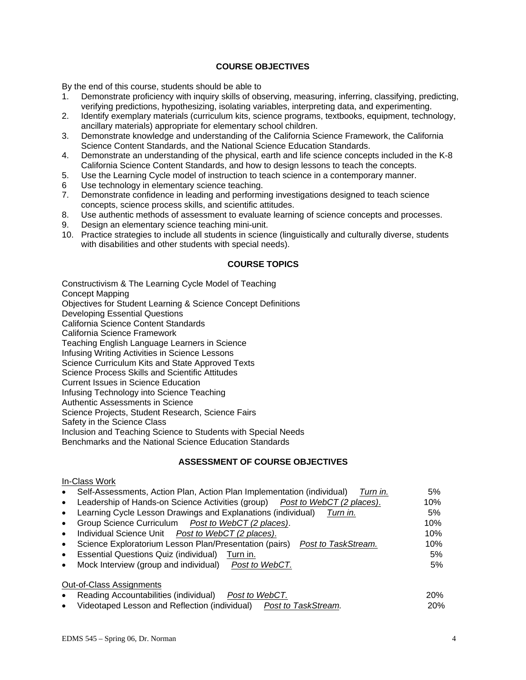# **COURSE OBJECTIVES**

By the end of this course, students should be able to

- 1. Demonstrate proficiency with inquiry skills of observing, measuring, inferring, classifying, predicting, verifying predictions, hypothesizing, isolating variables, interpreting data, and experimenting.
- 2. Identify exemplary materials (curriculum kits, science programs, textbooks, equipment, technology, ancillary materials) appropriate for elementary school children.
- 3. Demonstrate knowledge and understanding of the California Science Framework, the California Science Content Standards, and the National Science Education Standards.
- 4. Demonstrate an understanding of the physical, earth and life science concepts included in the K-8 California Science Content Standards, and how to design lessons to teach the concepts.
- 5. Use the Learning Cycle model of instruction to teach science in a contemporary manner.
- 6 Use technology in elementary science teaching.
- 7. Demonstrate confidence in leading and performing investigations designed to teach science concepts, science process skills, and scientific attitudes.
- 8. Use authentic methods of assessment to evaluate learning of science concepts and processes.
- 9. Design an elementary science teaching mini-unit.
- 10. Practice strategies to include all students in science (linguistically and culturally diverse, students with disabilities and other students with special needs).

# **COURSE TOPICS**

Constructivism & The Learning Cycle Model of Teaching Concept Mapping Objectives for Student Learning & Science Concept Definitions Developing Essential Questions California Science Content Standards California Science Framework Teaching English Language Learners in Science Infusing Writing Activities in Science Lessons Science Curriculum Kits and State Approved Texts Science Process Skills and Scientific Attitudes Current Issues in Science Education Infusing Technology into Science Teaching Authentic Assessments in Science Science Projects, Student Research, Science Fairs Safety in the Science Class Inclusion and Teaching Science to Students with Special Needs Benchmarks and the National Science Education Standards

# **ASSESSMENT OF COURSE OBJECTIVES**

# In-Class Work

| $\bullet$ | Self-Assessments, Action Plan, Action Plan Implementation (individual)<br>Turn in. | 5%  |
|-----------|------------------------------------------------------------------------------------|-----|
|           | • Leadership of Hands-on Science Activities (group) Post to WebCT (2 places).      | 10% |
|           | • Learning Cycle Lesson Drawings and Explanations (individual) Turn in.            | 5%  |
|           | • Group Science Curriculum  Post to WebCT (2 places).                              | 10% |
| $\bullet$ | Individual Science Unit Post to WebCT (2 places).                                  | 10% |
| $\bullet$ | Science Exploratorium Lesson Plan/Presentation (pairs)<br>Post to TaskStream.      | 10% |
| $\bullet$ | Essential Questions Quiz (individual) Turn in.                                     | 5%  |
| $\bullet$ | Mock Interview (group and individual) Post to WebCT.                               | 5%  |
|           |                                                                                    |     |

### Out-of-Class Assignments

- Reading Accountabilities (individual) *Post to WebCT.* 20%
- Videotaped Lesson and Reflection (individual) *Post to TaskStream.* 20%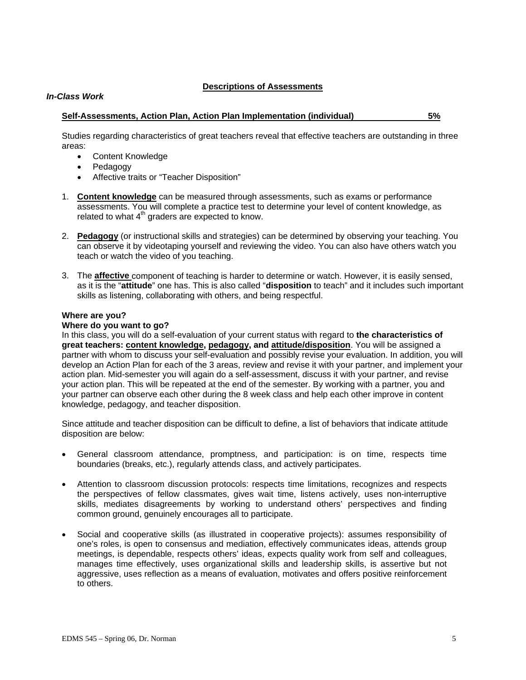### **Descriptions of Assessments**

### *In-Class Work*

### **Self-Assessments, Action Plan, Action Plan Implementation (individual) 5%**

Studies regarding characteristics of great teachers reveal that effective teachers are outstanding in three areas:

- Content Knowledge
- Pedagogy
- Affective traits or "Teacher Disposition"
- 1. **Content knowledge** can be measured through assessments, such as exams or performance assessments. You will complete a practice test to determine your level of content knowledge, as related to what  $4<sup>th</sup>$  graders are expected to know.
- 2. **Pedagogy** (or instructional skills and strategies) can be determined by observing your teaching. You can observe it by videotaping yourself and reviewing the video. You can also have others watch you teach or watch the video of you teaching.
- 3. The **affective** component of teaching is harder to determine or watch. However, it is easily sensed, as it is the "**attitude**" one has. This is also called "**disposition** to teach" and it includes such important skills as listening, collaborating with others, and being respectful.

### **Where are you?**

#### **Where do you want to go?**

In this class, you will do a self-evaluation of your current status with regard to **the characteristics of great teachers: content knowledge, pedagogy, and attitude/disposition**. You will be assigned a partner with whom to discuss your self-evaluation and possibly revise your evaluation. In addition, you will develop an Action Plan for each of the 3 areas, review and revise it with your partner, and implement your action plan. Mid-semester you will again do a self-assessment, discuss it with your partner, and revise your action plan. This will be repeated at the end of the semester. By working with a partner, you and your partner can observe each other during the 8 week class and help each other improve in content knowledge, pedagogy, and teacher disposition.

Since attitude and teacher disposition can be difficult to define, a list of behaviors that indicate attitude disposition are below:

- General classroom attendance, promptness, and participation: is on time, respects time boundaries (breaks, etc.), regularly attends class, and actively participates.
- Attention to classroom discussion protocols: respects time limitations, recognizes and respects the perspectives of fellow classmates, gives wait time, listens actively, uses non-interruptive skills, mediates disagreements by working to understand others' perspectives and finding common ground, genuinely encourages all to participate.
- Social and cooperative skills (as illustrated in cooperative projects): assumes responsibility of one's roles, is open to consensus and mediation, effectively communicates ideas, attends group meetings, is dependable, respects others' ideas, expects quality work from self and colleagues, manages time effectively, uses organizational skills and leadership skills, is assertive but not aggressive, uses reflection as a means of evaluation, motivates and offers positive reinforcement to others.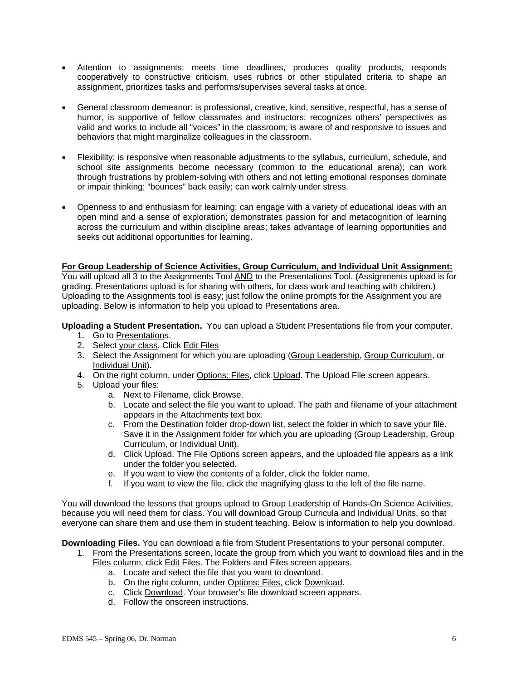- Attention to assignments: meets time deadlines, produces quality products, responds cooperatively to constructive criticism, uses rubrics or other stipulated criteria to shape an assignment, prioritizes tasks and performs/supervises several tasks at once.
- General classroom demeanor: is professional, creative, kind, sensitive, respectful, has a sense of humor, is supportive of fellow classmates and instructors; recognizes others' perspectives as valid and works to include all "voices" in the classroom; is aware of and responsive to issues and behaviors that might marginalize colleagues in the classroom.
- Flexibility: is responsive when reasonable adjustments to the syllabus, curriculum, schedule, and school site assignments become necessary (common to the educational arena); can work through frustrations by problem-solving with others and not letting emotional responses dominate or impair thinking; "bounces" back easily; can work calmly under stress.
- Openness to and enthusiasm for learning: can engage with a variety of educational ideas with an open mind and a sense of exploration; demonstrates passion for and metacognition of learning across the curriculum and within discipline areas; takes advantage of learning opportunities and seeks out additional opportunities for learning.

### **For Group Leadership of Science Activities, Group Curriculum, and Individual Unit Assignment:**

You will upload all 3 to the Assignments Tool AND to the Presentations Tool. (Assignments upload is for grading. Presentations upload is for sharing with others, for class work and teaching with children.) Uploading to the Assignments tool is easy; just follow the online prompts for the Assignment you are uploading. Below is information to help you upload to Presentations area.

**Uploading a Student Presentation.** You can upload a Student Presentations file from your computer.

- 1. Go to Presentations.
- 2. Select your class. Click Edit Files
- 3. Select the Assignment for which you are uploading (Group Leadership, Group Curriculum, or Individual Unit).
- 4. On the right column, under Options: Files, click Upload. The Upload File screen appears.
- 5. Upload your files:
	- a. Next to Filename, click Browse.
	- b. Locate and select the file you want to upload. The path and filename of your attachment appears in the Attachments text box.
	- c. From the Destination folder drop-down list, select the folder in which to save your file. Save it in the Assignment folder for which you are uploading (Group Leadership, Group Curriculum, or Individual Unit).
	- d. Click Upload. The File Options screen appears, and the uploaded file appears as a link under the folder you selected.
	- e. If you want to view the contents of a folder, click the folder name.
	- f. If you want to view the file, click the magnifying glass to the left of the file name.

You will download the lessons that groups upload to Group Leadership of Hands-On Science Activities, because you will need them for class. You will download Group Curricula and Individual Units, so that everyone can share them and use them in student teaching. Below is information to help you download.

**Downloading Files.** You can download a file from Student Presentations to your personal computer.

- 1. From the Presentations screen, locate the group from which you want to download files and in the Files column, click Edit Files. The Folders and Files screen appears.
	- a. Locate and select the file that you want to download.
	- b. On the right column, under Options: Files, click Download.
	- c. Click Download. Your browser's file download screen appears.
	- d. Follow the onscreen instructions.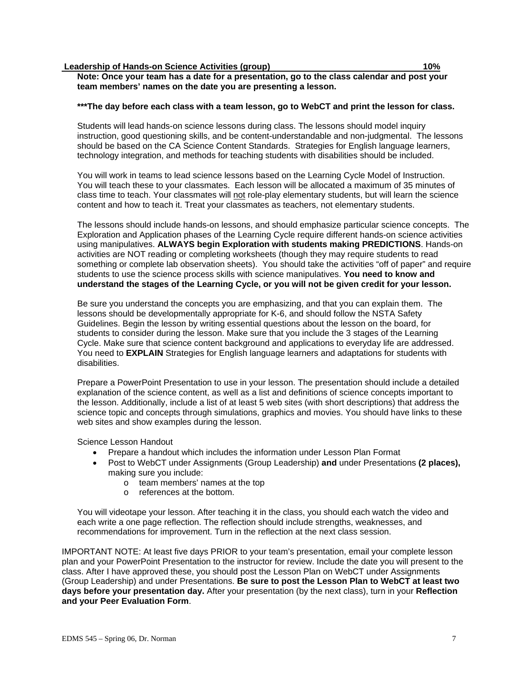### **Leadership of Hands-on Science Activities (group) 10%** 10%

**Note: Once your team has a date for a presentation, go to the class calendar and post your team members' names on the date you are presenting a lesson.** 

#### **\*\*\*The day before each class with a team lesson, go to WebCT and print the lesson for class.**

Students will lead hands-on science lessons during class. The lessons should model inquiry instruction, good questioning skills, and be content-understandable and non-judgmental. The lessons should be based on the CA Science Content Standards. Strategies for English language learners, technology integration, and methods for teaching students with disabilities should be included.

You will work in teams to lead science lessons based on the Learning Cycle Model of Instruction. You will teach these to your classmates. Each lesson will be allocated a maximum of 35 minutes of class time to teach. Your classmates will not role-play elementary students, but will learn the science content and how to teach it. Treat your classmates as teachers, not elementary students.

The lessons should include hands-on lessons, and should emphasize particular science concepts. The Exploration and Application phases of the Learning Cycle require different hands-on science activities using manipulatives. **ALWAYS begin Exploration with students making PREDICTIONS**. Hands-on activities are NOT reading or completing worksheets (though they may require students to read something or complete lab observation sheets). You should take the activities "off of paper" and require students to use the science process skills with science manipulatives. **You need to know and understand the stages of the Learning Cycle, or you will not be given credit for your lesson.**

Be sure you understand the concepts you are emphasizing, and that you can explain them. The lessons should be developmentally appropriate for K-6, and should follow the NSTA Safety Guidelines. Begin the lesson by writing essential questions about the lesson on the board, for students to consider during the lesson. Make sure that you include the 3 stages of the Learning Cycle. Make sure that science content background and applications to everyday life are addressed. You need to **EXPLAIN** Strategies for English language learners and adaptations for students with disabilities.

Prepare a PowerPoint Presentation to use in your lesson. The presentation should include a detailed explanation of the science content, as well as a list and definitions of science concepts important to the lesson. Additionally, include a list of at least 5 web sites (with short descriptions) that address the science topic and concepts through simulations, graphics and movies. You should have links to these web sites and show examples during the lesson.

Science Lesson Handout

- Prepare a handout which includes the information under Lesson Plan Format
- Post to WebCT under Assignments (Group Leadership) **and** under Presentations **(2 places),** making sure you include:
	- o team members' names at the top
	- o references at the bottom.

You will videotape your lesson. After teaching it in the class, you should each watch the video and each write a one page reflection. The reflection should include strengths, weaknesses, and recommendations for improvement. Turn in the reflection at the next class session.

IMPORTANT NOTE: At least five days PRIOR to your team's presentation, email your complete lesson plan and your PowerPoint Presentation to the instructor for review. Include the date you will present to the class. After I have approved these, you should post the Lesson Plan on WebCT under Assignments (Group Leadership) and under Presentations. **Be sure to post the Lesson Plan to WebCT at least two days before your presentation day.** After your presentation (by the next class), turn in your **Reflection and your Peer Evaluation Form**.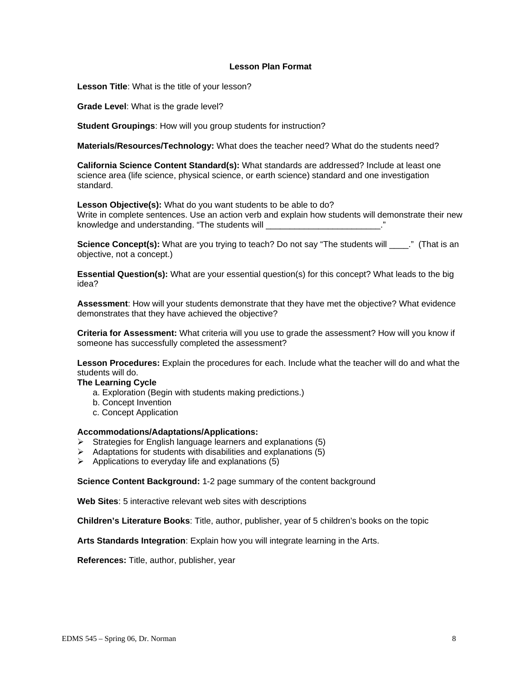### **Lesson Plan Format**

**Lesson Title**: What is the title of your lesson?

**Grade Level**: What is the grade level?

**Student Groupings**: How will you group students for instruction?

**Materials/Resources/Technology:** What does the teacher need? What do the students need?

**California Science Content Standard(s):** What standards are addressed? Include at least one science area (life science, physical science, or earth science) standard and one investigation standard.

**Lesson Objective(s):** What do you want students to be able to do?

Write in complete sentences. Use an action verb and explain how students will demonstrate their new knowledge and understanding. "The students will **example and intervalse and understanding.**"

**Science Concept(s):** What are you trying to teach? Do not say "The students will \_\_\_\_.." (That is an objective, not a concept.)

**Essential Question(s):** What are your essential question(s) for this concept? What leads to the big idea?

**Assessment**: How will your students demonstrate that they have met the objective? What evidence demonstrates that they have achieved the objective?

**Criteria for Assessment:** What criteria will you use to grade the assessment? How will you know if someone has successfully completed the assessment?

**Lesson Procedures:** Explain the procedures for each. Include what the teacher will do and what the students will do.

### **The Learning Cycle**

- a. Exploration (Begin with students making predictions.)
- b. Concept Invention
- c. Concept Application

#### **Accommodations/Adaptations/Applications:**

- $\triangleright$  Strategies for English language learners and explanations (5)
- $\triangleright$  Adaptations for students with disabilities and explanations (5)
- $\triangleright$  Applications to everyday life and explanations (5)

**Science Content Background:** 1-2 page summary of the content background

**Web Sites**: 5 interactive relevant web sites with descriptions

**Children's Literature Books**: Title, author, publisher, year of 5 children's books on the topic

**Arts Standards Integration**: Explain how you will integrate learning in the Arts.

**References:** Title, author, publisher, year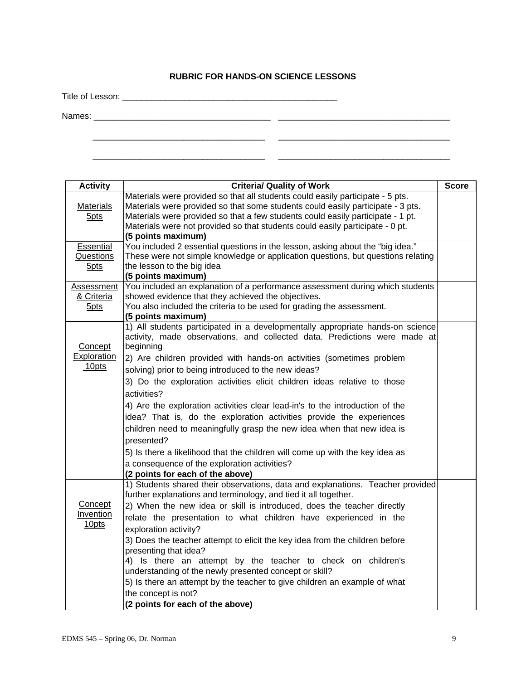# **RUBRIC FOR HANDS-ON SCIENCE LESSONS**

\_\_\_\_\_\_\_\_\_\_\_\_\_\_\_\_\_\_\_\_\_\_\_\_\_\_\_\_\_\_\_\_\_\_\_\_ \_\_\_\_\_\_\_\_\_\_\_\_\_\_\_\_\_\_\_\_\_\_\_\_\_\_\_\_\_\_\_\_\_\_\_\_

\_\_\_\_\_\_\_\_\_\_\_\_\_\_\_\_\_\_\_\_\_\_\_\_\_\_\_\_\_\_\_\_\_\_\_\_ \_\_\_\_\_\_\_\_\_\_\_\_\_\_\_\_\_\_\_\_\_\_\_\_\_\_\_\_\_\_\_\_\_\_\_\_

Title of Lesson: \_\_\_\_\_\_\_\_\_\_\_\_\_\_\_\_\_\_\_\_\_\_\_\_\_\_\_\_\_\_\_\_\_\_\_\_\_\_\_\_\_\_\_\_\_

Names: \_\_\_\_\_\_\_\_\_\_\_\_\_\_\_\_\_\_\_\_\_\_\_\_\_\_\_\_\_\_\_\_\_\_\_\_\_ \_\_\_\_\_\_\_\_\_\_\_\_\_\_\_\_\_\_\_\_\_\_\_\_\_\_\_\_\_\_\_\_\_\_\_\_

| <b>Activity</b>                | <b>Criteria/ Quality of Work</b>                                                                                                                                         | <b>Score</b> |
|--------------------------------|--------------------------------------------------------------------------------------------------------------------------------------------------------------------------|--------------|
| Materials                      | Materials were provided so that all students could easily participate - 5 pts.<br>Materials were provided so that some students could easily participate - 3 pts.        |              |
| 5 <sub>pts</sub>               | Materials were provided so that a few students could easily participate - 1 pt.<br>Materials were not provided so that students could easily participate - 0 pt.         |              |
|                                | (5 points maximum)                                                                                                                                                       |              |
| Essential                      | You included 2 essential questions in the lesson, asking about the "big idea."                                                                                           |              |
| Questions                      | These were not simple knowledge or application questions, but questions relating                                                                                         |              |
| 5 <sub>pts</sub>               | the lesson to the big idea                                                                                                                                               |              |
|                                | (5 points maximum)                                                                                                                                                       |              |
| Assessment                     | You included an explanation of a performance assessment during which students                                                                                            |              |
| & Criteria<br>5 <sub>pts</sub> | showed evidence that they achieved the objectives.<br>You also included the criteria to be used for grading the assessment.                                              |              |
|                                | (5 points maximum)                                                                                                                                                       |              |
| Concept                        | 1) All students participated in a developmentally appropriate hands-on science<br>activity, made observations, and collected data. Predictions were made at<br>beginning |              |
| <b>Exploration</b>             | 2) Are children provided with hands-on activities (sometimes problem                                                                                                     |              |
| 10pts                          | solving) prior to being introduced to the new ideas?                                                                                                                     |              |
|                                | 3) Do the exploration activities elicit children ideas relative to those                                                                                                 |              |
|                                | activities?                                                                                                                                                              |              |
|                                | 4) Are the exploration activities clear lead-in's to the introduction of the                                                                                             |              |
|                                | idea? That is, do the exploration activities provide the experiences                                                                                                     |              |
|                                | children need to meaningfully grasp the new idea when that new idea is                                                                                                   |              |
|                                | presented?                                                                                                                                                               |              |
|                                | 5) Is there a likelihood that the children will come up with the key idea as                                                                                             |              |
|                                | a consequence of the exploration activities?                                                                                                                             |              |
|                                | (2 points for each of the above)                                                                                                                                         |              |
|                                | 1) Students shared their observations, data and explanations. Teacher provided<br>further explanations and terminology, and tied it all together.                        |              |
| Concept                        | 2) When the new idea or skill is introduced, does the teacher directly                                                                                                   |              |
| <b>Invention</b>               | relate the presentation to what children have experienced in the                                                                                                         |              |
| 10 <sub>pts</sub>              | exploration activity?                                                                                                                                                    |              |
|                                | 3) Does the teacher attempt to elicit the key idea from the children before                                                                                              |              |
|                                | presenting that idea?                                                                                                                                                    |              |
|                                | 4) Is there an attempt by the teacher to check on children's                                                                                                             |              |
|                                | understanding of the newly presented concept or skill?                                                                                                                   |              |
|                                | 5) Is there an attempt by the teacher to give children an example of what                                                                                                |              |
|                                | the concept is not?                                                                                                                                                      |              |
|                                | (2 points for each of the above)                                                                                                                                         |              |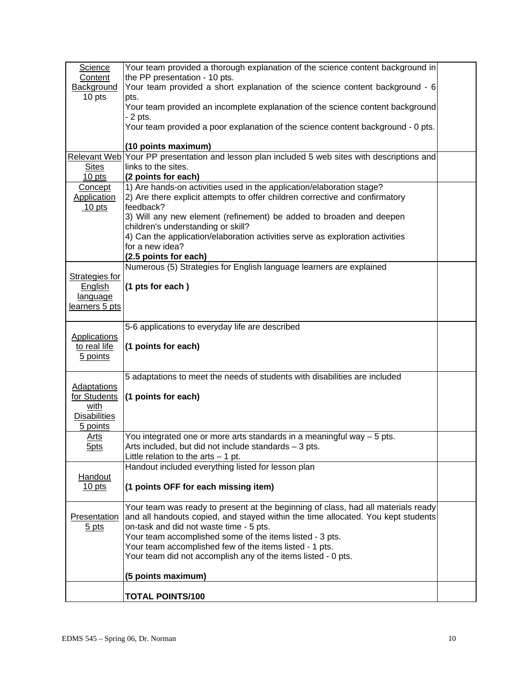| Science<br>Content<br>Background<br>10 pts                                    | Your team provided a thorough explanation of the science content background in<br>the PP presentation - 10 pts.<br>Your team provided a short explanation of the science content background - 6<br>pts.<br>Your team provided an incomplete explanation of the science content background<br>- 2 pts.<br>Your team provided a poor explanation of the science content background - 0 pts.                    |  |
|-------------------------------------------------------------------------------|--------------------------------------------------------------------------------------------------------------------------------------------------------------------------------------------------------------------------------------------------------------------------------------------------------------------------------------------------------------------------------------------------------------|--|
|                                                                               | (10 points maximum)                                                                                                                                                                                                                                                                                                                                                                                          |  |
| <b>Sites</b><br>$10$ pts                                                      | Relevant Web Your PP presentation and lesson plan included 5 web sites with descriptions and<br>links to the sites.<br>(2 points for each)                                                                                                                                                                                                                                                                   |  |
| Concept<br><b>Application</b><br>10 pts                                       | 1) Are hands-on activities used in the application/elaboration stage?<br>2) Are there explicit attempts to offer children corrective and confirmatory<br>feedback?<br>3) Will any new element (refinement) be added to broaden and deepen<br>children's understanding or skill?<br>4) Can the application/elaboration activities serve as exploration activities<br>for a new idea?<br>(2.5 points for each) |  |
| <b>Strategies for</b><br><b>English</b><br>language<br>learners 5 pts         | Numerous (5) Strategies for English language learners are explained<br>(1 pts for each)                                                                                                                                                                                                                                                                                                                      |  |
| <b>Applications</b><br>to real life<br>5 points                               | 5-6 applications to everyday life are described<br>(1 points for each)                                                                                                                                                                                                                                                                                                                                       |  |
| <b>Adaptations</b><br>for Students<br>with<br><b>Disabilities</b><br>5 points | 5 adaptations to meet the needs of students with disabilities are included<br>(1 points for each)                                                                                                                                                                                                                                                                                                            |  |
| <u>Arts</u><br>5pts                                                           | You integrated one or more arts standards in a meaningful way $-5$ pts.<br>Arts included, but did not include standards - 3 pts.<br>Little relation to the $arts - 1$ pt.                                                                                                                                                                                                                                    |  |
| Handout<br>$10$ pts                                                           | Handout included everything listed for lesson plan<br>(1 points OFF for each missing item)                                                                                                                                                                                                                                                                                                                   |  |
| Presentation<br>$5$ pts                                                       | Your team was ready to present at the beginning of class, had all materials ready<br>and all handouts copied, and stayed within the time allocated. You kept students<br>on-task and did not waste time - 5 pts.<br>Your team accomplished some of the items listed - 3 pts.<br>Your team accomplished few of the items listed - 1 pts.<br>Your team did not accomplish any of the items listed - 0 pts.     |  |
|                                                                               | (5 points maximum)                                                                                                                                                                                                                                                                                                                                                                                           |  |
|                                                                               | <b>TOTAL POINTS/100</b>                                                                                                                                                                                                                                                                                                                                                                                      |  |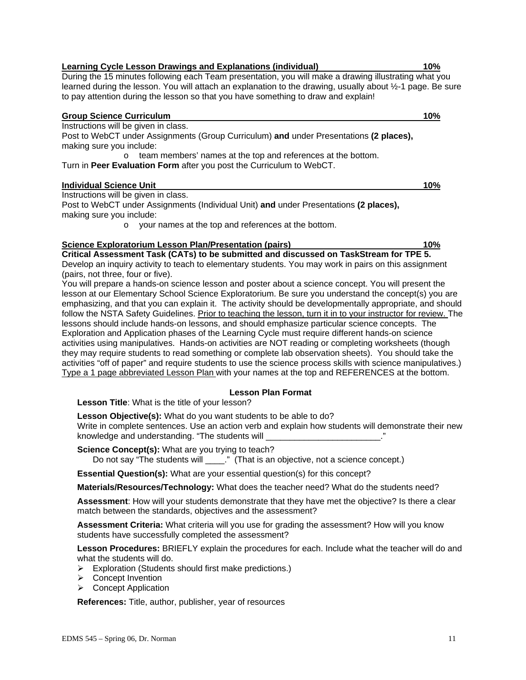#### During the 15 minutes following each Team presentation, you will make a drawing illustrating what you learned during the lesson. You will attach an explanation to the drawing, usually about ½-1 page. Be sure to pay attention during the lesson so that you have something to draw and explain!

### **Group Science Curriculum 10%**

Instructions will be given in class.

Post to WebCT under Assignments (Group Curriculum) **and** under Presentations **(2 places),** making sure you include:

o team members' names at the top and references at the bottom.

Turn in **Peer Evaluation Form** after you post the Curriculum to WebCT.

# **Individual Science Unit 10%**

Instructions will be given in class.

Post to WebCT under Assignments (Individual Unit) **and** under Presentations **(2 places),** making sure you include:

o your names at the top and references at the bottom.

### **Science Exploratorium Lesson Plan/Presentation (pairs) 10% 10%**

**Critical Assessment Task (CATs) to be submitted and discussed on TaskStream for TPE 5.**  Develop an inquiry activity to teach to elementary students. You may work in pairs on this assignment (pairs, not three, four or five).

You will prepare a hands-on science lesson and poster about a science concept. You will present the lesson at our Elementary School Science Exploratorium. Be sure you understand the concept(s) you are emphasizing, and that you can explain it. The activity should be developmentally appropriate, and should follow the NSTA Safety Guidelines. Prior to teaching the lesson, turn it in to your instructor for review. The lessons should include hands-on lessons, and should emphasize particular science concepts. The Exploration and Application phases of the Learning Cycle must require different hands-on science activities using manipulatives. Hands-on activities are NOT reading or completing worksheets (though they may require students to read something or complete lab observation sheets). You should take the activities "off of paper" and require students to use the science process skills with science manipulatives.) Type a 1 page abbreviated Lesson Plan with your names at the top and REFERENCES at the bottom.

# **Lesson Plan Format**

**Lesson Title**: What is the title of your lesson?

**Lesson Objective(s):** What do you want students to be able to do? Write in complete sentences. Use an action verb and explain how students will demonstrate their new knowledge and understanding. "The students will

**Science Concept(s):** What are you trying to teach?

Do not say "The students will \_\_\_\_." (That is an objective, not a science concept.)

**Essential Question(s):** What are your essential question(s) for this concept?

**Materials/Resources/Technology:** What does the teacher need? What do the students need?

**Assessment**: How will your students demonstrate that they have met the objective? Is there a clear match between the standards, objectives and the assessment?

**Assessment Criteria:** What criteria will you use for grading the assessment? How will you know students have successfully completed the assessment?

**Lesson Procedures:** BRIEFLY explain the procedures for each. Include what the teacher will do and what the students will do.

- ¾ Exploration (Students should first make predictions.)
- ¾ Concept Invention
- ¾ Concept Application

**References:** Title, author, publisher, year of resources

**Learning Cycle Lesson Drawings and Explanations (individual) 10%**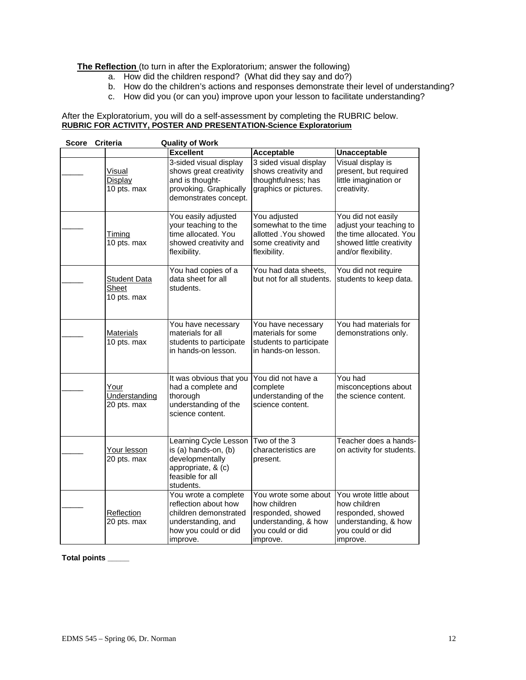# **The Reflection** (to turn in after the Exploratorium; answer the following)

- a. How did the children respond? (What did they say and do?)
- b. How do the children's actions and responses demonstrate their level of understanding?
- c. How did you (or can you) improve upon your lesson to facilitate understanding?

#### After the Exploratorium, you will do a self-assessment by completing the RUBRIC below. **RUBRIC FOR ACTIVITY, POSTER AND PRESENTATION-Science Exploratorium**

| <b>Score</b> | <b>Criteria</b>                             | <b>Quality of Work</b>                                                                                                          |                                                                                                                   |                                                                                                                             |
|--------------|---------------------------------------------|---------------------------------------------------------------------------------------------------------------------------------|-------------------------------------------------------------------------------------------------------------------|-----------------------------------------------------------------------------------------------------------------------------|
|              |                                             | <b>Excellent</b>                                                                                                                | Acceptable                                                                                                        | <b>Unacceptable</b>                                                                                                         |
|              | Visual<br>Display<br>10 pts. max            | 3-sided visual display<br>shows great creativity<br>and is thought-<br>provoking. Graphically<br>demonstrates concept.          | 3 sided visual display<br>shows creativity and<br>thoughtfulness; has<br>graphics or pictures.                    | Visual display is<br>present, but required<br>little imagination or<br>creativity.                                          |
|              | Timing<br>10 pts. max                       | You easily adjusted<br>your teaching to the<br>time allocated. You<br>showed creativity and<br>flexibility.                     | You adjusted<br>somewhat to the time<br>allotted . You showed<br>some creativity and<br>flexibility.              | You did not easily<br>adjust your teaching to<br>the time allocated. You<br>showed little creativity<br>and/or flexibility. |
|              | <b>Student Data</b><br>Sheet<br>10 pts. max | You had copies of a<br>data sheet for all<br>students.                                                                          | You had data sheets,<br>but not for all students.                                                                 | You did not require<br>students to keep data.                                                                               |
|              | <b>Materials</b><br>10 pts. max             | You have necessary<br>materials for all<br>students to participate<br>in hands-on lesson.                                       | You have necessary<br>materials for some<br>students to participate<br>in hands-on lesson.                        | You had materials for<br>demonstrations only.                                                                               |
|              | Your<br>Understanding<br>20 pts. max        | It was obvious that you<br>had a complete and<br>thorough<br>understanding of the<br>science content.                           | You did not have a<br>complete<br>understanding of the<br>science content.                                        | You had<br>misconceptions about<br>the science content.                                                                     |
|              | Your lesson<br>20 pts. max                  | Learning Cycle Lesson<br>is (a) hands-on, (b)<br>developmentally<br>appropriate, & (c)<br>feasible for all<br>students.         | Two of the 3<br>characteristics are<br>present.                                                                   | Teacher does a hands-<br>on activity for students.                                                                          |
|              | Reflection<br>20 pts. max                   | You wrote a complete<br>reflection about how<br>children demonstrated<br>understanding, and<br>how you could or did<br>improve. | You wrote some about<br>how children<br>responded, showed<br>understanding, & how<br>you could or did<br>improve. | You wrote little about<br>how children<br>responded, showed<br>understanding, & how<br>you could or did<br>limprove.        |

#### **Total points \_\_\_\_\_**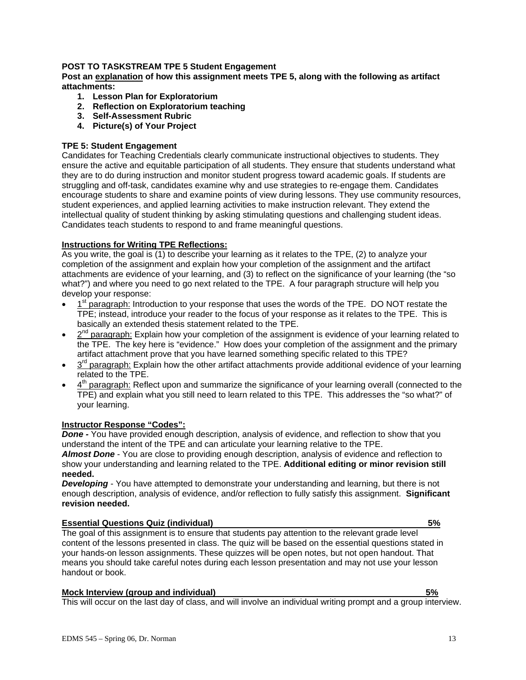# **POST TO TASKSTREAM TPE 5 Student Engagement**

**Post an explanation of how this assignment meets TPE 5, along with the following as artifact attachments:** 

- **1. Lesson Plan for Exploratorium**
- **2. Reflection on Exploratorium teaching**
- **3. Self-Assessment Rubric**
- **4. Picture(s) of Your Project**

### **TPE 5: Student Engagement**

Candidates for Teaching Credentials clearly communicate instructional objectives to students. They ensure the active and equitable participation of all students. They ensure that students understand what they are to do during instruction and monitor student progress toward academic goals. If students are struggling and off-task, candidates examine why and use strategies to re-engage them. Candidates encourage students to share and examine points of view during lessons. They use community resources, student experiences, and applied learning activities to make instruction relevant. They extend the intellectual quality of student thinking by asking stimulating questions and challenging student ideas. Candidates teach students to respond to and frame meaningful questions.

### **Instructions for Writing TPE Reflections:**

As you write, the goal is (1) to describe your learning as it relates to the TPE, (2) to analyze your completion of the assignment and explain how your completion of the assignment and the artifact attachments are evidence of your learning, and (3) to reflect on the significance of your learning (the "so what?") and where you need to go next related to the TPE. A four paragraph structure will help you develop your response:

- 1<sup>st</sup> paragraph: Introduction to your response that uses the words of the TPE. DO NOT restate the TPE; instead, introduce your reader to the focus of your response as it relates to the TPE. This is basically an extended thesis statement related to the TPE.
- $2<sup>nd</sup>$  paragraph: Explain how your completion of the assignment is evidence of your learning related to the TPE. The key here is "evidence." How does your completion of the assignment and the primary artifact attachment prove that you have learned something specific related to this TPE?
- $3<sup>rd</sup>$  paragraph: Explain how the other artifact attachments provide additional evidence of your learning related to the TPE.
- 4th paragraph: Reflect upon and summarize the significance of your learning overall (connected to the TPE) and explain what you still need to learn related to this TPE. This addresses the "so what?" of your learning.

# **Instructor Response "Codes":**

**Done -** You have provided enough description, analysis of evidence, and reflection to show that you understand the intent of the TPE and can articulate your learning relative to the TPE.

*Almost Done* - You are close to providing enough description, analysis of evidence and reflection to show your understanding and learning related to the TPE. **Additional editing or minor revision still needed.**

**Developing** - You have attempted to demonstrate your understanding and learning, but there is not enough description, analysis of evidence, and/or reflection to fully satisfy this assignment. **Significant revision needed.**

### **Essential Questions Quiz (individual) 5%**

The goal of this assignment is to ensure that students pay attention to the relevant grade level content of the lessons presented in class. The quiz will be based on the essential questions stated in your hands-on lesson assignments. These quizzes will be open notes, but not open handout. That means you should take careful notes during each lesson presentation and may not use your lesson handout or book.

#### **Mock Interview (group and individual) 5%**

This will occur on the last day of class, and will involve an individual writing prompt and a group interview.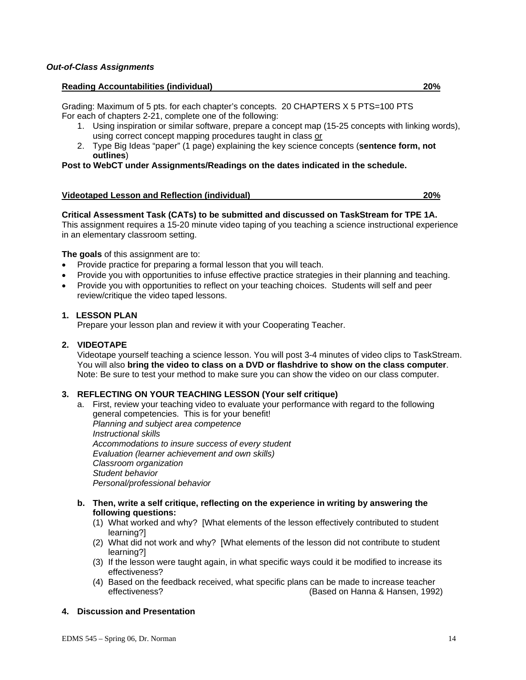#### **Reading Accountabilities (individual) 20%**

Grading: Maximum of 5 pts. for each chapter's concepts. 20 CHAPTERS X 5 PTS=100 PTS For each of chapters 2-21, complete one of the following:

- 1. Using inspiration or similar software, prepare a concept map (15-25 concepts with linking words), using correct concept mapping procedures taught in class or
- 2. Type Big Ideas "paper" (1 page) explaining the key science concepts (**sentence form, not outlines**)

### **Post to WebCT under Assignments/Readings on the dates indicated in the schedule.**

### **Videotaped Lesson and Reflection (individual) 20%**

#### **Critical Assessment Task (CATs) to be submitted and discussed on TaskStream for TPE 1A.**

This assignment requires a 15-20 minute video taping of you teaching a science instructional experience in an elementary classroom setting.

#### **The goals** of this assignment are to:

- Provide practice for preparing a formal lesson that you will teach.
- Provide you with opportunities to infuse effective practice strategies in their planning and teaching.
- Provide you with opportunities to reflect on your teaching choices. Students will self and peer review/critique the video taped lessons.

### **1. LESSON PLAN**

Prepare your lesson plan and review it with your Cooperating Teacher.

### **2. VIDEOTAPE**

Videotape yourself teaching a science lesson. You will post 3-4 minutes of video clips to TaskStream. You will also **bring the video to class on a DVD or flashdrive to show on the class computer**. Note: Be sure to test your method to make sure you can show the video on our class computer.

### **3. REFLECTING ON YOUR TEACHING LESSON (Your self critique)**

- a. First, review your teaching video to evaluate your performance with regard to the following general competencies. This is for your benefit! *Planning and subject area competence Instructional skills Accommodations to insure success of every student Evaluation (learner achievement and own skills) Classroom organization Student behavior Personal/professional behavior*
- **b. Then, write a self critique, reflecting on the experience in writing by answering the following questions:** 
	- (1) What worked and why? [What elements of the lesson effectively contributed to student learning?]
	- (2) What did not work and why? [What elements of the lesson did not contribute to student learning?]
	- (3) If the lesson were taught again, in what specific ways could it be modified to increase its effectiveness?
	- (4) Based on the feedback received, what specific plans can be made to increase teacher effectiveness? (Based on Hanna & Hansen, 1992)

### **4. Discussion and Presentation**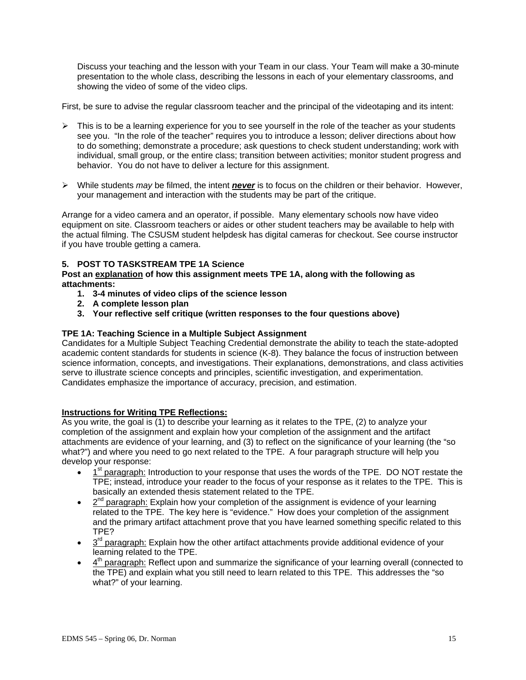Discuss your teaching and the lesson with your Team in our class. Your Team will make a 30-minute presentation to the whole class, describing the lessons in each of your elementary classrooms, and showing the video of some of the video clips.

First, be sure to advise the regular classroom teacher and the principal of the videotaping and its intent:

- $\triangleright$  This is to be a learning experience for you to see yourself in the role of the teacher as your students see you. "In the role of the teacher" requires you to introduce a lesson; deliver directions about how to do something; demonstrate a procedure; ask questions to check student understanding; work with individual, small group, or the entire class; transition between activities; monitor student progress and behavior. You do not have to deliver a lecture for this assignment.
- ¾ While students *may* be filmed, the intent *never* is to focus on the children or their behavior. However, your management and interaction with the students may be part of the critique.

Arrange for a video camera and an operator, if possible. Many elementary schools now have video equipment on site. Classroom teachers or aides or other student teachers may be available to help with the actual filming. The CSUSM student helpdesk has digital cameras for checkout. See course instructor if you have trouble getting a camera.

# **5. POST TO TASKSTREAM TPE 1A Science**

**Post an explanation of how this assignment meets TPE 1A, along with the following as attachments:** 

- **1. 3-4 minutes of video clips of the science lesson**
- **2. A complete lesson plan**
- **3. Your reflective self critique (written responses to the four questions above)**

# **TPE 1A: Teaching Science in a Multiple Subject Assignment**

Candidates for a Multiple Subject Teaching Credential demonstrate the ability to teach the state-adopted academic content standards for students in science (K-8). They balance the focus of instruction between science information, concepts, and investigations. Their explanations, demonstrations, and class activities serve to illustrate science concepts and principles, scientific investigation, and experimentation. Candidates emphasize the importance of accuracy, precision, and estimation.

### **Instructions for Writing TPE Reflections:**

As you write, the goal is (1) to describe your learning as it relates to the TPE, (2) to analyze your completion of the assignment and explain how your completion of the assignment and the artifact attachments are evidence of your learning, and (3) to reflect on the significance of your learning (the "so what?") and where you need to go next related to the TPE. A four paragraph structure will help you develop your response:

- $1<sup>st</sup>$  paragraph: Introduction to your response that uses the words of the TPE. DO NOT restate the TPE; instead, introduce your reader to the focus of your response as it relates to the TPE. This is basically an extended thesis statement related to the TPE.
- $2<sup>nd</sup>$  paragraph: Explain how your completion of the assignment is evidence of your learning related to the TPE. The key here is "evidence." How does your completion of the assignment and the primary artifact attachment prove that you have learned something specific related to this TPE?
- $3<sup>rd</sup>$  paragraph: Explain how the other artifact attachments provide additional evidence of your learning related to the TPE.
- $\bullet$  4<sup>th</sup> paragraph: Reflect upon and summarize the significance of your learning overall (connected to the TPE) and explain what you still need to learn related to this TPE. This addresses the "so what?" of your learning.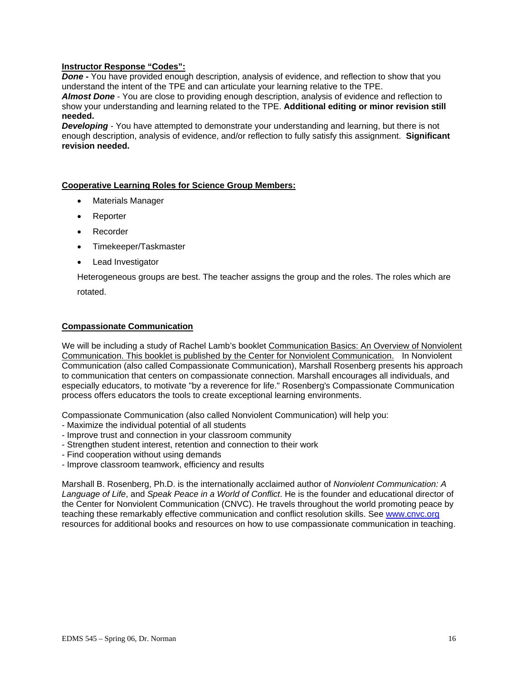# **Instructor Response "Codes":**

**Done -** You have provided enough description, analysis of evidence, and reflection to show that you understand the intent of the TPE and can articulate your learning relative to the TPE.

*Almost Done* - You are close to providing enough description, analysis of evidence and reflection to show your understanding and learning related to the TPE. **Additional editing or minor revision still needed.**

**Developing** - You have attempted to demonstrate your understanding and learning, but there is not enough description, analysis of evidence, and/or reflection to fully satisfy this assignment. **Significant revision needed.**

### **Cooperative Learning Roles for Science Group Members:**

- Materials Manager
- Reporter
- **Recorder**
- Timekeeper/Taskmaster
- Lead Investigator

Heterogeneous groups are best. The teacher assigns the group and the roles. The roles which are

rotated.

#### **Compassionate Communication**

We will be including a study of Rachel Lamb's booklet Communication Basics: An Overview of Nonviolent Communication. This booklet is published by the Center for Nonviolent Communication. In Nonviolent Communication (also called Compassionate Communication), Marshall Rosenberg presents his approach to communication that centers on compassionate connection. Marshall encourages all individuals, and especially educators, to motivate "by a reverence for life." Rosenberg's Compassionate Communication process offers educators the tools to create exceptional learning environments.

Compassionate Communication (also called Nonviolent Communication) will help you:

- Maximize the individual potential of all students
- Improve trust and connection in your classroom community
- Strengthen student interest, retention and connection to their work
- Find cooperation without using demands
- Improve classroom teamwork, efficiency and results

Marshall B. Rosenberg, Ph.D. is the internationally acclaimed author of *Nonviolent Communication: A Language of Life*, and *Speak Peace in a World of Conflict*. He is the founder and educational director of the Center for Nonviolent Communication (CNVC). He travels throughout the world promoting peace by teaching these remarkably effective communication and conflict resolution skills. See www.cnvc.org resources for additional books and resources on how to use compassionate communication in teaching.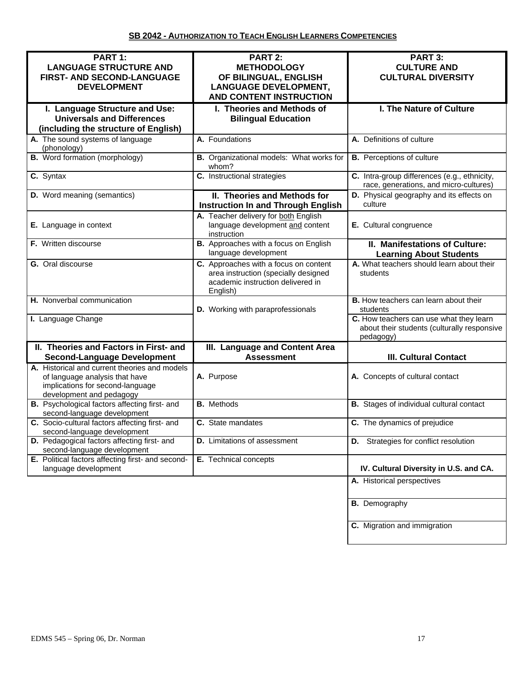| PART 1:<br><b>LANGUAGE STRUCTURE AND</b><br>FIRST- AND SECOND-LANGUAGE<br><b>DEVELOPMENT</b>                                                    | PART 2:<br><b>METHODOLOGY</b><br>OF BILINGUAL, ENGLISH<br><b>LANGUAGE DEVELOPMENT,</b><br><b>AND CONTENT INSTRUCTION</b>       | PART 3:<br><b>CULTURE AND</b><br><b>CULTURAL DIVERSITY</b>                                          |
|-------------------------------------------------------------------------------------------------------------------------------------------------|--------------------------------------------------------------------------------------------------------------------------------|-----------------------------------------------------------------------------------------------------|
| I. Language Structure and Use:<br><b>Universals and Differences</b><br>(including the structure of English)                                     | I. Theories and Methods of<br><b>Bilingual Education</b>                                                                       | I. The Nature of Culture                                                                            |
| A. The sound systems of language<br>(phonology)                                                                                                 | A. Foundations                                                                                                                 | A. Definitions of culture                                                                           |
| <b>B.</b> Word formation (morphology)                                                                                                           | B. Organizational models: What works for<br>whom?                                                                              | <b>B.</b> Perceptions of culture                                                                    |
| C. Syntax                                                                                                                                       | C. Instructional strategies                                                                                                    | C. Intra-group differences (e.g., ethnicity,<br>race, generations, and micro-cultures)              |
| D. Word meaning (semantics)                                                                                                                     | II. Theories and Methods for<br><b>Instruction In and Through English</b>                                                      | D. Physical geography and its effects on<br>culture                                                 |
| E. Language in context                                                                                                                          | A. Teacher delivery for both English<br>language development and content<br>instruction                                        | E. Cultural congruence                                                                              |
| F. Written discourse                                                                                                                            | <b>B.</b> Approaches with a focus on English<br>language development                                                           | <b>II. Manifestations of Culture:</b><br><b>Learning About Students</b>                             |
| G. Oral discourse                                                                                                                               | C. Approaches with a focus on content<br>area instruction (specially designed<br>academic instruction delivered in<br>English) | A. What teachers should learn about their<br>students                                               |
| H. Nonverbal communication                                                                                                                      | D. Working with paraprofessionals                                                                                              | <b>B.</b> How teachers can learn about their<br>students                                            |
| I. Language Change                                                                                                                              |                                                                                                                                | C. How teachers can use what they learn<br>about their students (culturally responsive<br>pedagogy) |
| II. Theories and Factors in First- and<br><b>Second-Language Development</b>                                                                    | III. Language and Content Area<br><b>Assessment</b>                                                                            | <b>III. Cultural Contact</b>                                                                        |
| A. Historical and current theories and models<br>of language analysis that have<br>implications for second-language<br>development and pedagogy | A. Purpose                                                                                                                     | A. Concepts of cultural contact                                                                     |
| B. Psychological factors affecting first- and<br>second-language development                                                                    | <b>B.</b> Methods                                                                                                              | <b>B.</b> Stages of individual cultural contact                                                     |
| C. Socio-cultural factors affecting first- and<br>second-language development                                                                   | C. State mandates                                                                                                              | C. The dynamics of prejudice                                                                        |
| D. Pedagogical factors affecting first- and<br>second-language development                                                                      | <b>D.</b> Limitations of assessment                                                                                            | D. Strategies for conflict resolution                                                               |
| E. Political factors affecting first- and second-<br>language development                                                                       | E. Technical concepts                                                                                                          | IV. Cultural Diversity in U.S. and CA.                                                              |
|                                                                                                                                                 |                                                                                                                                | A. Historical perspectives                                                                          |
|                                                                                                                                                 |                                                                                                                                | <b>B.</b> Demography                                                                                |
|                                                                                                                                                 |                                                                                                                                | C. Migration and immigration                                                                        |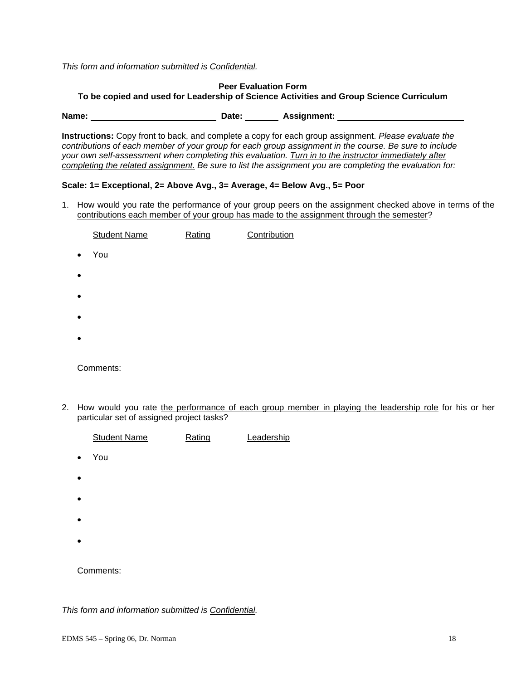*This form and information submitted is Confidential.* 

# **Peer Evaluation Form To be copied and used for Leadership of Science Activities and Group Science Curriculum**

Name: Name: 2008 Name: 2008 Name: 2008 Name: 2008 Name: 2008 Name: 2008 Name: 2008 Name: 2008 Name: 2008 Name: 2008 Name: 2008 Name: 2008 Name: 2008 Name: 2008 Name: 2008 Name: 2008 Name: 2008 Name: 2008 Name: 2008 Name: 2

**Instructions:** Copy front to back, and complete a copy for each group assignment. *Please evaluate the contributions of each member of your group for each group assignment in the course. Be sure to include your own self-assessment when completing this evaluation. Turn in to the instructor immediately after completing the related assignment. Be sure to list the assignment you are completing the evaluation for:* 

# **Scale: 1= Exceptional, 2= Above Avg., 3= Average, 4= Below Avg., 5= Poor**

1. How would you rate the performance of your group peers on the assignment checked above in terms of the contributions each member of your group has made to the assignment through the semester?

|           | <b>Student Name</b> | Rating | Contribution |
|-----------|---------------------|--------|--------------|
| $\bullet$ | You                 |        |              |
| $\bullet$ |                     |        |              |
| $\bullet$ |                     |        |              |
| $\bullet$ |                     |        |              |
| $\bullet$ |                     |        |              |
|           |                     |        |              |

Comments:

2. How would you rate the performance of each group member in playing the leadership role for his or her particular set of assigned project tasks?

|           | <b>Student Name</b> | Rating | Leadership |
|-----------|---------------------|--------|------------|
| $\bullet$ | You                 |        |            |
| $\bullet$ |                     |        |            |
| $\bullet$ |                     |        |            |
| $\bullet$ |                     |        |            |
| $\bullet$ |                     |        |            |
|           | Comments:           |        |            |

*This form and information submitted is Confidential.*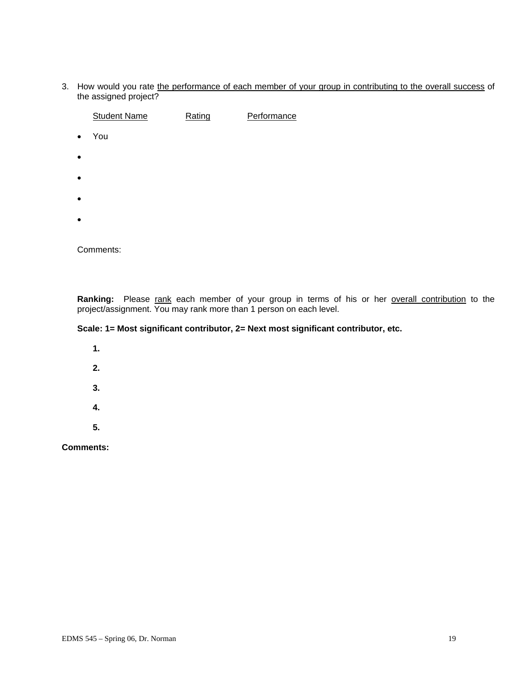3. How would you rate the performance of each member of your group in contributing to the overall success of the assigned project?

|           | <b>Student Name</b> | Rating | Performance |
|-----------|---------------------|--------|-------------|
| $\bullet$ | You                 |        |             |
| $\bullet$ |                     |        |             |
| $\bullet$ |                     |        |             |
| $\bullet$ |                     |        |             |
| $\bullet$ |                     |        |             |
|           |                     |        |             |

Comments:

**Ranking:** Please rank each member of your group in terms of his or her overall contribution to the project/assignment. You may rank more than 1 person on each level.

# **Scale: 1= Most significant contributor, 2= Next most significant contributor, etc.**

 **1. 2. 3. 4. 5.** 

**Comments:**